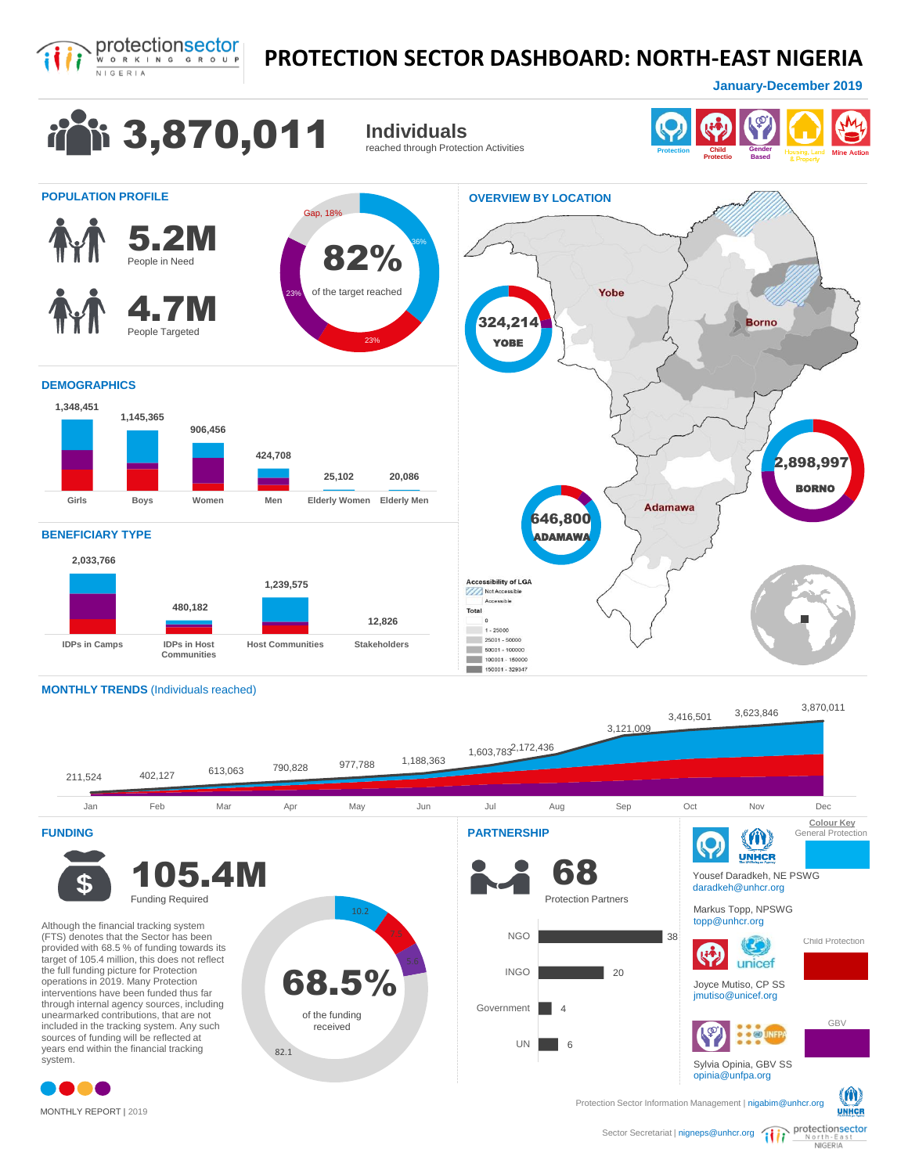

## **PROTECTION SECTOR DASHBOARD: NORTH-EAST NIGERIA**

**January - December 2019** 



MONTHLY REPORT | 2019

North-East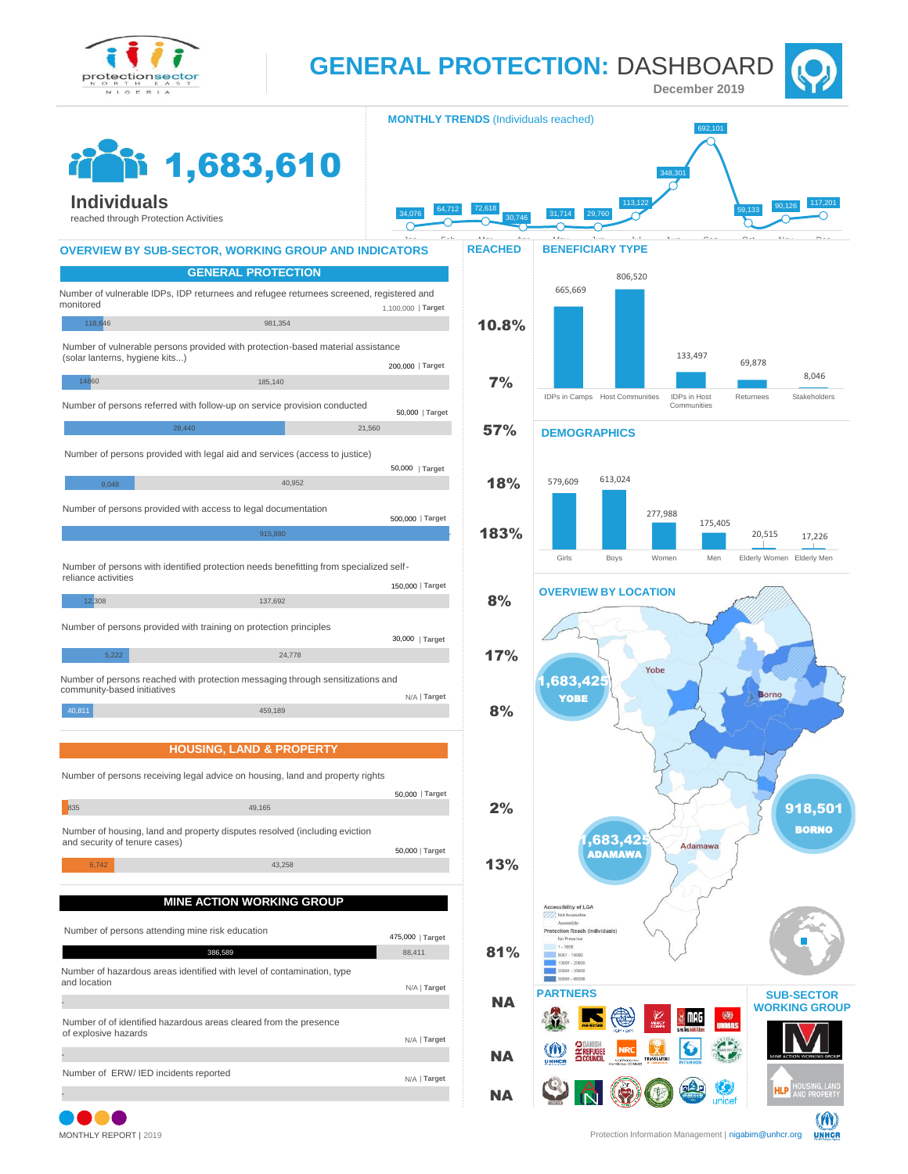

**GENERAL PROTECTION:** DASHBOARD

**January - December 2019**



**MONTHLY TRENDS** (Individuals reached) 692,101 1,683,610 348,301 **Individuals** 113,122 59,133 90,126 117,201 34,076 64,712 72,618 31,714 29,760 reached through Protection Activities Jan Feb Mar Apr May Jun Jul Aug Sep Oct Nov Dec **OVERVIEW BY SUB-SECTOR, WORKING GROUP AND INDICATORS BENEFICIARY TYPE REACHED GENERAL PROTECTION** 806,520 665,669 Number of vulnerable IDPs, IDP returnees and refugee returnees screened, registered and monitored 1,100,000 | **Target** 118,646 981,354 10.8% Number of vulnerable persons provided with protection-based material assistance 133,497 (solar lanterns, hygiene kits...) 69,878 200,000 | **Target** 8,046 14860 185,140 7% IDPs in Camps Host Communities IDPs in Host Returnees Stakeholders Number of persons referred with follow-up on service provision conducted Communities 50,000 | **Target**  $28,440$   $21,560$   $57\%$ **DEMOGRAPHICS** Number of persons provided with legal aid and services (access to justice) 50,000 | **Target** 579,609 613,024 18% 9,048 40,952 Number of persons provided with access to legal documentation 277,988 500,000 | **Target** 175,405 183% 20,515 17,226 915,880 - Girls Boys Women Men Elderly Women Elderly Men Number of persons with identified protection needs benefitting from specialized selfreliance activities 150,000 | **Target OVERVIEW BY LOCATION** 12,308 137,692 8% Number of persons provided with training on protection principles 30,000 | **Target**  $\frac{5,222}{17}\$ Yobe Number of persons reached with protection messaging through sensitizations and 683.42 community-based initiatives N/A | **Target**  $nnc$ YOBE 40,811 459,189 8% **HOUSING, LAND & PROPERTY**Number of persons receiving legal advice on housing, land and property rights 50,000 | **Target** 2% <mark>835 49,165 49,165 49,165 49,165 49,165 49,165 49,165 49,165 49,165 49,165 49,165 49,165 49,165 49,165 49,165 49,165 49,165 49,165 49,165 49,165 49,165 49,165 49,165 49,165 49,165 49,165 49,165 49,165 49,165 49,166 49,166 </mark> 918,501 BORNO Number of housing, land and property disputes resolved (including eviction 683,42 and security of tenure cases) Adamawa | **Target** 50,000 ADAMAWA 6,742 **13% MINE ACTION WORKING GROUP** Accessibility of LGA Number of persons attending mine risk education  $n_{\rm{max}}$ ction Reach Andivid 475,000 | **Target**  $+ 400$ **386.589** 88.411 81% Number of hazardous areas identified with level of contamination, type and location N/A | **Target PARTNERS SUB-SECTOR NA** - **WORKING GROUP**  $\frac{1}{32}$  mpc Number of of identified hazardous areas cleared from the presence of explosive hazards N/A | **Target** NA - Number of ERW/ IED incidents reported N/A | **Target** HID **NA**  unicet

M

**UNHCR**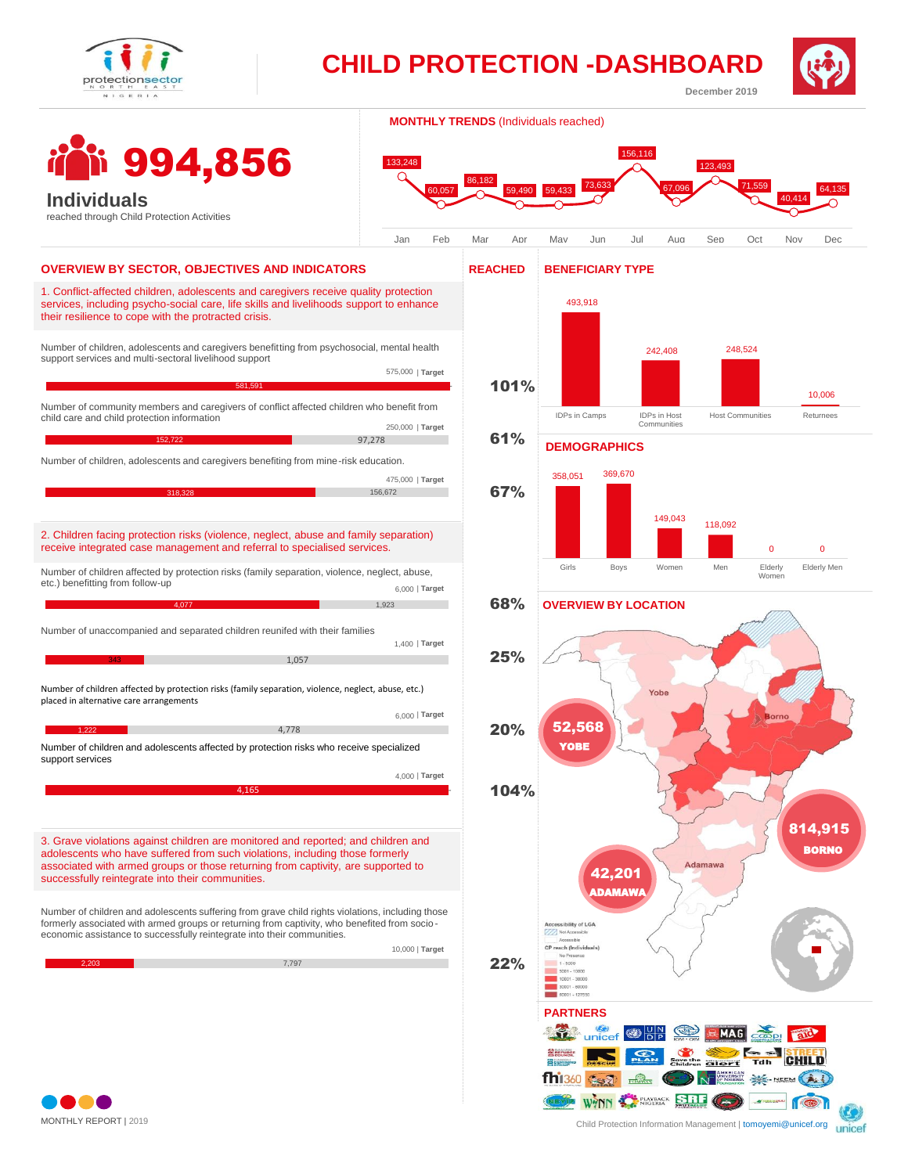

994,856

**Individuals**

**CHILD PROTECTION - DASHBOARD**



**MONTHLY TRENDS** (Individuals reached)



## reached through Child Protection Activities 1. Conflict-affected children, adolescents and caregivers receive quality protection services, including psycho-social care, life skills and livelihoods support to enhance their resilience to cope with the protracted crisis. Number of children, adolescents and caregivers benefitting from psychosocial, mental health support services and multi-sectoral livelihood support Number of community members and caregivers of conflict affected children who benefit from child care and child protection information Number of children, adolescents and caregivers benefiting from mine-risk education. **OVERVIEW BY SECTOR, OBJECTIVES AND INDICATORS BENEFICIARY TYPE** 581,591 - Die Berger in der Erste andere Stadt der Erste andere Stadt der Erste andere Stadt der Erste andere **REACHED** 1<mark>52,722 97,278</mark> 97,278 156,672 101% 61% 67% 68% 25% 20% 22% 575,000 | **Target** 250,000 | **Target** 475,000 | **Target** 2. Children facing protection risks (violence, neglect, abuse and family separation) receive integrated case management and referral to specialised services. Number of children affected by protection risks (family separation, violence, neglect, abuse, etc.) placed in alternative care arrangements Number of children affected by protection risks (family separation, violence, neglect, abuse, etc.) benefitting from follow-up Number of unaccompanied and separated children reunifed with their families **4,077** 1,923 <u>343 1,057</u> 1,057 **1,222** 4,778 6,000 | **Target** 1,400 | **Target** 6,000 | **Target** 3. Grave violations against children are monitored and reported; and children and adolescents who have suffered from such violations, including those formerly associated with armed groups or those returning from captivity, are supported to successfully reintegrate into their communities. Number of children and adolescents suffering from grave child rights violations, including those formerly associated with armed groups or returning from captivity, who benefited from socio economic assistance to successfully reintegrate into their communities. 2,203 7,797 10,000 | **Target** Number of children and adolescents affected by protection risks who receive specialized support services 4,165 - 4,000 | **Target** 104%



**January - December 2019**





Child Protection [Information Management | tomoyemi@unicef.org](mailto:mfarhad@unicef.org) 

unicef

MONTHLY REPORT | 2019